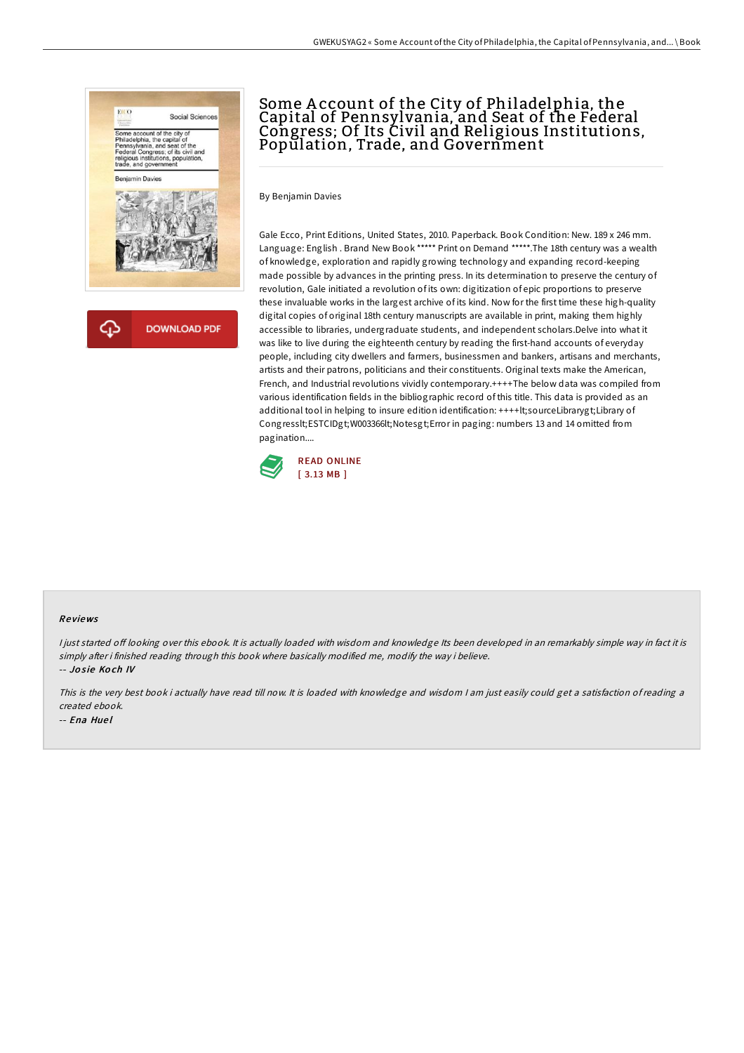

# Some Account of the City of Philadelphia, the Capital of Pennsylvania, and Seat of the Federal Congress; Of Its Civil and Religious Institutions, Population, Trade, and Government

By Benjamin Davies

Gale Ecco, Print Editions, United States, 2010. Paperback. Book Condition: New. 189 x 246 mm. Language: English . Brand New Book \*\*\*\*\* Print on Demand \*\*\*\*\*.The 18th century was a wealth of knowledge, exploration and rapidly growing technology and expanding record-keeping made possible by advances in the printing press. In its determination to preserve the century of revolution, Gale initiated a revolution of its own: digitization of epic proportions to preserve these invaluable works in the largest archive of its kind. Now for the first time these high-quality digital copies of original 18th century manuscripts are available in print, making them highly accessible to libraries, undergraduate students, and independent scholars.Delve into what it was like to live during the eighteenth century by reading the first-hand accounts of everyday people, including city dwellers and farmers, businessmen and bankers, artisans and merchants, artists and their patrons, politicians and their constituents. Original texts make the American, French, and Industrial revolutions vividly contemporary.++++The below data was compiled from various identification fields in the bibliographic record of this title. This data is provided as an additional tool in helping to insure edition identification: ++++lt;sourceLibrarygt;Library of Congresslt;ESTCIDgt;W003366lt;Notesgt;Error in paging: numbers 13 and 14 omitted from pagination....



#### Re views

I just started off looking over this ebook. It is actually loaded with wisdom and knowledge Its been developed in an remarkably simple way in fact it is simply after i finished reading through this book where basically modified me, modify the way i believe. -- Josie Koch IV

This is the very best book i actually have read till now. It is loaded with knowledge and wisdom I am just easily could get a satisfaction of reading a created ebook. -- Ena Hue l